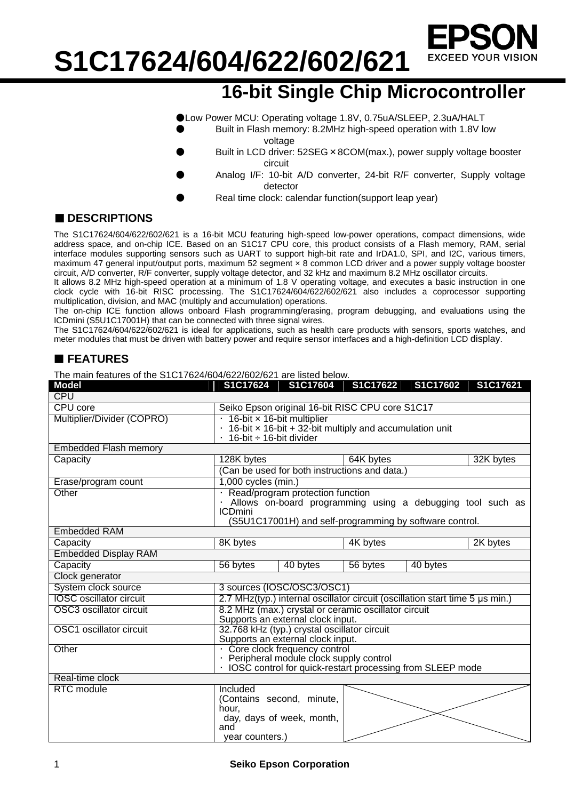

**16-bit Single Chip Microcontroller** 

●Low Power MCU: Operating voltage 1.8V, 0.75uA/SLEEP, 2.3uA/HALT

- Built in Flash memory: 8.2MHz high-speed operation with 1.8V low voltage
- Built in LCD driver: 52SEG × 8COM(max.), power supply voltage booster circuit
- Analog I/F: 10-bit A/D converter, 24-bit R/F converter, Supply voltage detector
	- Real time clock: calendar function(support leap year)

#### ■ **DESCRIPTIONS**

The S1C17624/604/622/602/621 is a 16-bit MCU featuring high-speed low-power operations, compact dimensions, wide address space, and on-chip ICE. Based on an S1C17 CPU core, this product consists of a Flash memory, RAM, serial interface modules supporting sensors such as UART to support high-bit rate and IrDA1.0, SPI, and I2C, various timers, maximum 47 general input/output ports, maximum 52 segment × 8 common LCD driver and a power supply voltage booster circuit, A/D converter, R/F converter, supply voltage detector, and 32 kHz and maximum 8.2 MHz oscillator circuits.

It allows 8.2 MHz high-speed operation at a minimum of 1.8 V operating voltage, and executes a basic instruction in one clock cycle with 16-bit RISC processing. The S1C17624/604/622/602/621 also includes a coprocessor supporting multiplication, division, and MAC (multiply and accumulation) operations.

The on-chip ICE function allows onboard Flash programming/erasing, program debugging, and evaluations using the ICDmini (S5U1C17001H) that can be connected with three signal wires.

The S1C17624/604/622/602/621 is ideal for applications, such as health care products with sensors, sports watches, and meter modules that must be driven with battery power and require sensor interfaces and a high-definition LCD display.

### **FEATURES**

The main features of the S1C17624/604/622/602/621 are listed below.

| <b>Model</b>                   |                                                                                                                                                                               | S1C17624   S1C17604   S1C17622                         |          |          | S1C17602   S1C17621 |  |  |  |
|--------------------------------|-------------------------------------------------------------------------------------------------------------------------------------------------------------------------------|--------------------------------------------------------|----------|----------|---------------------|--|--|--|
| <b>CPU</b>                     |                                                                                                                                                                               |                                                        |          |          |                     |  |  |  |
| CPU core                       | Seiko Epson original 16-bit RISC CPU core S1C17                                                                                                                               |                                                        |          |          |                     |  |  |  |
| Multiplier/Divider (COPRO)     | · 16-bit x 16-bit multiplier<br>$\cdot$ 16-bit $\times$ 16-bit + 32-bit multiply and accumulation unit<br>16-bit ÷ 16-bit divider                                             |                                                        |          |          |                     |  |  |  |
| <b>Embedded Flash memory</b>   |                                                                                                                                                                               |                                                        |          |          |                     |  |  |  |
| Capacity                       | 128K bytes<br>64K bytes                                                                                                                                                       |                                                        |          |          | 32K bytes           |  |  |  |
|                                | (Can be used for both instructions and data.)                                                                                                                                 |                                                        |          |          |                     |  |  |  |
| Erase/program count            | $1,000$ cycles (min.)                                                                                                                                                         |                                                        |          |          |                     |  |  |  |
| Other                          | · Read/program protection function<br>Allows on-board programming using a debugging tool such as<br><b>ICDmini</b><br>(S5U1C17001H) and self-programming by software control. |                                                        |          |          |                     |  |  |  |
| <b>Embedded RAM</b>            |                                                                                                                                                                               |                                                        |          |          |                     |  |  |  |
| Capacity                       | 8K bytes                                                                                                                                                                      |                                                        | 4K bytes |          | 2K bytes            |  |  |  |
| <b>Embedded Display RAM</b>    |                                                                                                                                                                               |                                                        |          |          |                     |  |  |  |
| Capacity                       | 56 bytes                                                                                                                                                                      | 40 bytes                                               | 56 bytes | 40 bytes |                     |  |  |  |
| Clock generator                |                                                                                                                                                                               |                                                        |          |          |                     |  |  |  |
| System clock source            | 3 sources (IOSC/OSC3/OSC1)                                                                                                                                                    |                                                        |          |          |                     |  |  |  |
| <b>IOSC</b> oscillator circuit | 2.7 MHz(typ.) internal oscillator circuit (oscillation start time 5 µs min.)                                                                                                  |                                                        |          |          |                     |  |  |  |
| OSC3 oscillator circuit        | 8.2 MHz (max.) crystal or ceramic oscillator circuit<br>Supports an external clock input.                                                                                     |                                                        |          |          |                     |  |  |  |
| OSC1 oscillator circuit        | 32.768 kHz (typ.) crystal oscillator circuit<br>Supports an external clock input.                                                                                             |                                                        |          |          |                     |  |  |  |
| Other                          | · Core clock frequency control                                                                                                                                                |                                                        |          |          |                     |  |  |  |
|                                | Peripheral module clock supply control                                                                                                                                        |                                                        |          |          |                     |  |  |  |
|                                | IOSC control for quick-restart processing from SLEEP mode                                                                                                                     |                                                        |          |          |                     |  |  |  |
| Real-time clock                |                                                                                                                                                                               |                                                        |          |          |                     |  |  |  |
| <b>RTC</b> module              | Included<br>hour.<br>and                                                                                                                                                      | (Contains second, minute,<br>day, days of week, month, |          |          |                     |  |  |  |
|                                | year counters.)                                                                                                                                                               |                                                        |          |          |                     |  |  |  |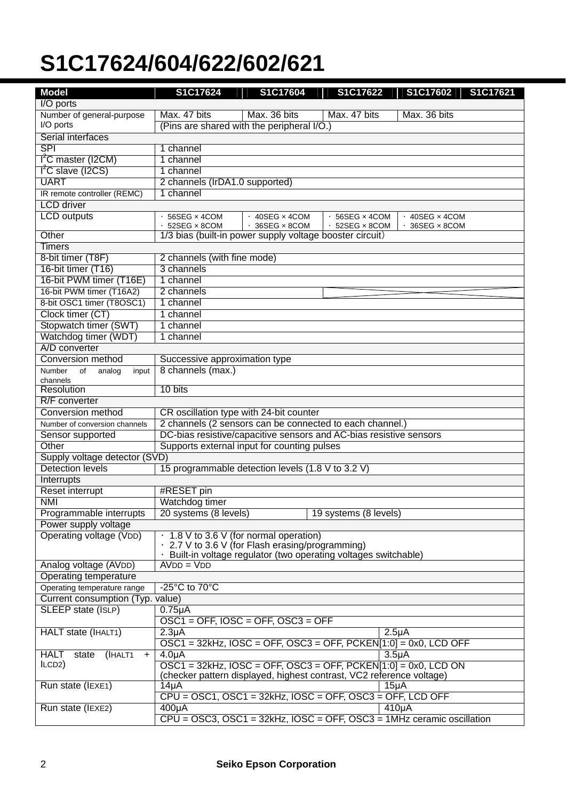| <b>Model</b>                                 | S1C17624                                                                    | S1C17604                                                       | S1C17622                    | S1C17602<br>S1C17621                                                  |  |  |
|----------------------------------------------|-----------------------------------------------------------------------------|----------------------------------------------------------------|-----------------------------|-----------------------------------------------------------------------|--|--|
| I/O ports                                    |                                                                             |                                                                |                             |                                                                       |  |  |
| Number of general-purpose                    | Max. 47 bits                                                                | Max. 36 bits                                                   | Max. 47 bits                | Max. 36 bits                                                          |  |  |
| I/O ports                                    | (Pins are shared with the peripheral I/O.)                                  |                                                                |                             |                                                                       |  |  |
| Serial interfaces                            |                                                                             |                                                                |                             |                                                                       |  |  |
| <b>SPI</b>                                   | 1 channel                                                                   |                                                                |                             |                                                                       |  |  |
| 1 <sup>2</sup> C master (I2CM)               | 1 channel                                                                   |                                                                |                             |                                                                       |  |  |
| I <sup>2</sup> C slave (I2CS)                | 1 channel                                                                   |                                                                |                             |                                                                       |  |  |
| <b>UART</b>                                  | 2 channels (IrDA1.0 supported)                                              |                                                                |                             |                                                                       |  |  |
| IR remote controller (REMC)                  | 1 channel                                                                   |                                                                |                             |                                                                       |  |  |
| <b>LCD</b> driver                            |                                                                             |                                                                |                             |                                                                       |  |  |
| <b>LCD</b> outputs                           | 56SEG x 4COM                                                                | $\cdot$ 40SEG $\times$ 4COM                                    | 56SEG × 4COM                | $\cdot$ 40SEG $\times$ 4COM                                           |  |  |
|                                              | 52SEG x 8COM                                                                | $\cdot$ 36SEG $\times$ 8COM                                    | $\cdot$ 52SEG $\times$ 8COM | $\cdot$ 36SEG $\times$ 8COM                                           |  |  |
| Other                                        | 1/3 bias (built-in power supply voltage booster circuit)                    |                                                                |                             |                                                                       |  |  |
| Timers                                       |                                                                             |                                                                |                             |                                                                       |  |  |
| 8-bit timer (T8F)                            | 2 channels (with fine mode)                                                 |                                                                |                             |                                                                       |  |  |
| 16-bit timer (T16)                           | 3 channels                                                                  |                                                                |                             |                                                                       |  |  |
| 16-bit PWM timer (T16E)                      | 1 channel                                                                   |                                                                |                             |                                                                       |  |  |
| 16-bit PWM timer (T16A2)                     | 2 channels                                                                  |                                                                |                             |                                                                       |  |  |
| 8-bit OSC1 timer (T8OSC1)                    | 1 channel                                                                   |                                                                |                             |                                                                       |  |  |
| Clock timer (CT)                             | 1 channel                                                                   |                                                                |                             |                                                                       |  |  |
| Stopwatch timer (SWT)                        | 1 channel                                                                   |                                                                |                             |                                                                       |  |  |
| Watchdog timer (WDT)                         | 1 channel                                                                   |                                                                |                             |                                                                       |  |  |
| A/D converter                                |                                                                             |                                                                |                             |                                                                       |  |  |
| Conversion method                            | Successive approximation type                                               |                                                                |                             |                                                                       |  |  |
| Number<br>of<br>analog<br>input              | 8 channels (max.)                                                           |                                                                |                             |                                                                       |  |  |
| channels                                     |                                                                             |                                                                |                             |                                                                       |  |  |
| Resolution                                   | 10 bits                                                                     |                                                                |                             |                                                                       |  |  |
| R/F converter                                |                                                                             |                                                                |                             |                                                                       |  |  |
| Conversion method                            | CR oscillation type with 24-bit counter                                     |                                                                |                             |                                                                       |  |  |
| Number of conversion channels                | 2 channels (2 sensors can be connected to each channel.)                    |                                                                |                             |                                                                       |  |  |
| Sensor supported                             | DC-bias resistive/capacitive sensors and AC-bias resistive sensors          |                                                                |                             |                                                                       |  |  |
| Other                                        | Supports external input for counting pulses                                 |                                                                |                             |                                                                       |  |  |
| Supply voltage detector (SVD)                |                                                                             |                                                                |                             |                                                                       |  |  |
| <b>Detection levels</b>                      | 15 programmable detection levels (1.8 V to 3.2 V)                           |                                                                |                             |                                                                       |  |  |
| Interrupts                                   |                                                                             |                                                                |                             |                                                                       |  |  |
| <b>Reset interrupt</b>                       | #RESET pin                                                                  |                                                                |                             |                                                                       |  |  |
| <b>NMI</b>                                   | Watchdog timer                                                              |                                                                |                             |                                                                       |  |  |
| Programmable interrupts                      | 20 systems (8 levels)                                                       |                                                                | 19 systems (8 levels)       |                                                                       |  |  |
| Power supply voltage                         |                                                                             |                                                                |                             |                                                                       |  |  |
| Operating voltage (VDD)                      | 1.8 V to 3.6 V (for normal operation)                                       |                                                                |                             |                                                                       |  |  |
|                                              | 2.7 V to 3.6 V (for Flash erasing/programming)                              |                                                                |                             |                                                                       |  |  |
| Analog voltage (AVDD)                        | $AVDD = VDD$                                                                | Built-in voltage regulator (two operating voltages switchable) |                             |                                                                       |  |  |
| Operating temperature                        |                                                                             |                                                                |                             |                                                                       |  |  |
| Operating temperature range                  | $-25^{\circ}$ C to 70 $^{\circ}$ C                                          |                                                                |                             |                                                                       |  |  |
| Current consumption (Typ. value)             |                                                                             |                                                                |                             |                                                                       |  |  |
| SLEEP state (ISLP)                           | $0.75\mu A$                                                                 |                                                                |                             |                                                                       |  |  |
|                                              | $OSC1 = OFF$ , $IOSC = OFF$ , $OSC3 = OFF$                                  |                                                                |                             |                                                                       |  |  |
| HALT state (IHALT1)                          | 2.3 <sub>µ</sub> A                                                          |                                                                |                             | 2.5 <sub>µ</sub> A                                                    |  |  |
|                                              | $OSC1 = 32kHz$ , $IOSC = OFF$ , $OSC3 = OFF$ , $PCKEN[1:0] = 0x0$ , LCD OFF |                                                                |                             |                                                                       |  |  |
| (IHALT1<br><b>HALT</b><br>state<br>$\ddot{}$ | 4.0 <sub>µ</sub> A                                                          |                                                                |                             | 3.5 <sub>µ</sub> A                                                    |  |  |
| ILCD2)                                       | $OSC1 = 32kHz$ , $IOSC = OFF$ , $OSC3 = OFF$ , $PCKEN[1:0] = 0x0$ , LCD ON  |                                                                |                             |                                                                       |  |  |
|                                              | (checker pattern displayed, highest contrast, VC2 reference voltage)        |                                                                |                             |                                                                       |  |  |
| Run state (IEXE1)                            | $14\mu$ A                                                                   |                                                                |                             | 15 <sub>µ</sub> A                                                     |  |  |
|                                              | $CPU = OSC1, OSC1 = 32kHz, IOSC = OFF, OSC3 = OFF, LCD OFF$                 |                                                                |                             |                                                                       |  |  |
| Run state (IEXE2)                            | $400\mu A$                                                                  |                                                                |                             | $410\mu A$                                                            |  |  |
|                                              |                                                                             |                                                                |                             | CPU = OSC3, OSC1 = 32kHz, IOSC = OFF, OSC3 = 1MHz ceramic oscillation |  |  |
|                                              |                                                                             |                                                                |                             |                                                                       |  |  |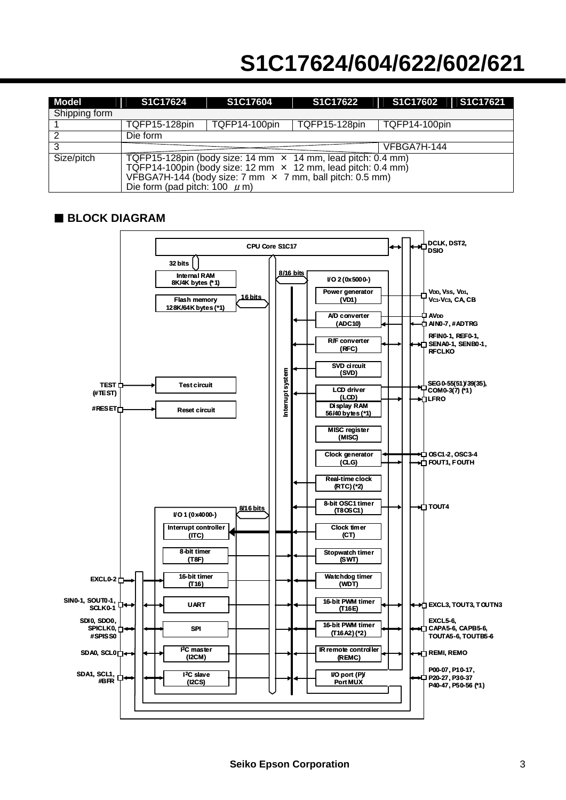| Model         | S1C17624                                                                                                                                                                                                                                           | S1C17604      | S1C17622             | S1C17602      | S1C17621 |  |  |
|---------------|----------------------------------------------------------------------------------------------------------------------------------------------------------------------------------------------------------------------------------------------------|---------------|----------------------|---------------|----------|--|--|
| Shipping form |                                                                                                                                                                                                                                                    |               |                      |               |          |  |  |
|               | <b>TQFP15-128pin</b>                                                                                                                                                                                                                               | TQFP14-100pin | <b>TQFP15-128pin</b> | TQFP14-100pin |          |  |  |
| 2             | Die form                                                                                                                                                                                                                                           |               |                      |               |          |  |  |
| 3             |                                                                                                                                                                                                                                                    |               | VFBGA7H-144          |               |          |  |  |
| Size/pitch    | TQFP15-128pin (body size: 14 mm $\times$ 14 mm, lead pitch: 0.4 mm)<br>TQFP14-100pin (body size: 12 mm $\times$ 12 mm, lead pitch: 0.4 mm)<br>VFBGA7H-144 (body size: 7 mm $\times$ 7 mm, ball pitch: 0.5 mm)<br>Die form (pad pitch: 100 $\mu$ m) |               |                      |               |          |  |  |

#### **BLOCK DIAGRAM**